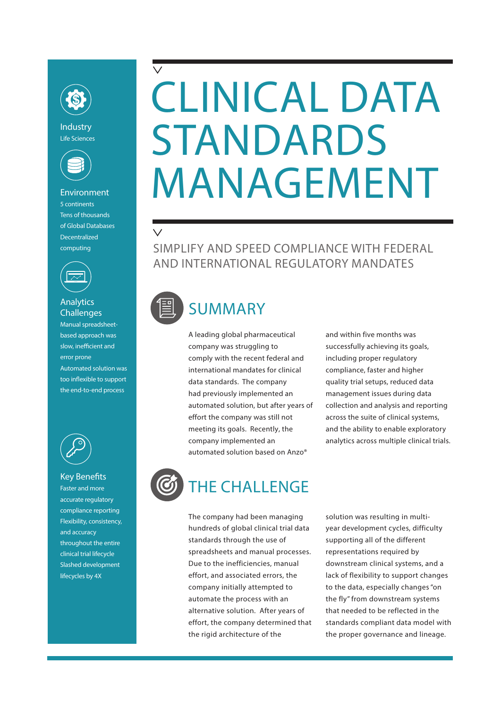

Industry Life Sciences



## Environment 5 continents Tens of thousands of Global Databases **Decentralized** computing



## **Analytics Challenges**

Manual spreadsheetbased approach was slow, inefficient and error prone Automated solution was too inflexible to support the end-to-end process



### Key Benefits

Faster and more accurate regulatory compliance reporting Flexibility, consistency, and accuracy throughout the entire clinical trial lifecycle Slashed development lifecycles by 4X

# CLINICAL DATA STANDARDS MANAGEMENT

SIMPLIFY AND SPEED COMPLIANCE WITH FEDERAL AND INTERNATIONAL REGULATORY MANDATES

 $\checkmark$ 

# SUMMARY

A leading global pharmaceutical company was struggling to comply with the recent federal and international mandates for clinical data standards. The company had previously implemented an automated solution, but after years of effort the company was still not meeting its goals. Recently, the company implemented an automated solution based on Anzo®

and within five months was successfully achieving its goals, including proper regulatory compliance, faster and higher quality trial setups, reduced data management issues during data collection and analysis and reporting across the suite of clinical systems, and the ability to enable exploratory analytics across multiple clinical trials.



The company had been managing hundreds of global clinical trial data standards through the use of spreadsheets and manual processes. Due to the inefficiencies, manual effort, and associated errors, the company initially attempted to automate the process with an alternative solution. After years of effort, the company determined that the rigid architecture of the

solution was resulting in multiyear development cycles, difficulty supporting all of the different representations required by downstream clinical systems, and a lack of flexibility to support changes to the data, especially changes"on the fly" from downstream systems that needed to be reflected in the standards compliant data model with the proper governance and lineage.